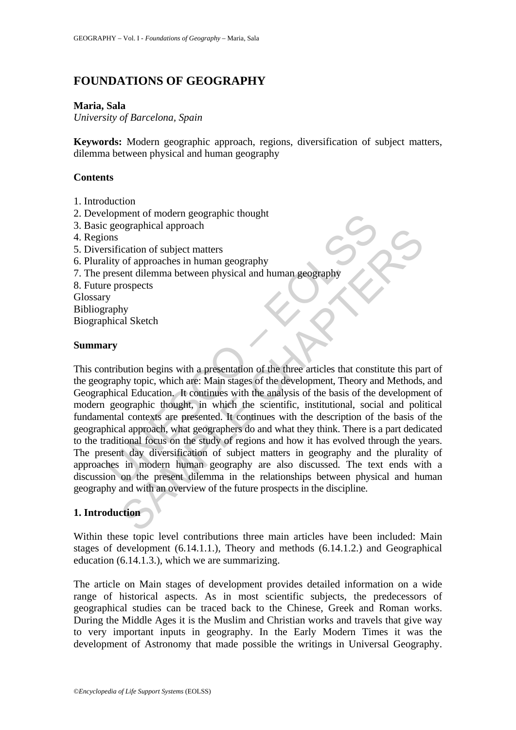# **FOUNDATIONS OF GEOGRAPHY**

#### **Maria, Sala**

*University of Barcelona, Spain* 

**Keywords:** Modern geographic approach, regions, diversification of subject matters, dilemma between physical and human geography

### **Contents**

- 1. Introduction
- 2. Development of modern geographic thought
- 3. Basic geographical approach
- 4. Regions
- 5. Diversification of subject matters
- 6. Plurality of approaches in human geography
- 7. The present dilemma between physical and human geography
- 8. Future prospects

Glossary

Bibliography

Biographical Sketch

#### **Summary**

From the modern geographic thought<br>
Segmantical approach<br>
Soms<br>
Sisticlation of subject matters<br>
lity of approaches in human geography<br>
Soms<br>
Sisticlation of subject matters<br>
e prospects<br>
prophy<br>
prophy<br>
prophy<br>
prophy<br>
pr Experiment dilemma methods in the method of the function of the discreption of subject matters<br>of approaches in human geography<br>rospects<br>properts discreparison of the three articles that constitute this pa<br>hy topic, which This contribution begins with a presentation of the three articles that constitute this part of the geography topic, which are: Main stages of the development, Theory and Methods, and Geographical Education. It continues with the analysis of the basis of the development of modern geographic thought, in which the scientific, institutional, social and political fundamental contexts are presented. It continues with the description of the basis of the geographical approach, what geographers do and what they think. There is a part dedicated to the traditional focus on the study of regions and how it has evolved through the years. The present day diversification of subject matters in geography and the plurality of approaches in modern human geography are also discussed. The text ends with a discussion on the present dilemma in the relationships between physical and human geography and with an overview of the future prospects in the discipline.

# **1. Introduction**

Within these topic level contributions three main articles have been included: Main stages of development (6.14.1.1.), Theory and methods (6.14.1.2.) and Geographical education (6.14.1.3.), which we are summarizing.

The article on Main stages of development provides detailed information on a wide range of historical aspects. As in most scientific subjects, the predecessors of geographical studies can be traced back to the Chinese, Greek and Roman works. During the Middle Ages it is the Muslim and Christian works and travels that give way to very important inputs in geography. In the Early Modern Times it was the development of Astronomy that made possible the writings in Universal Geography.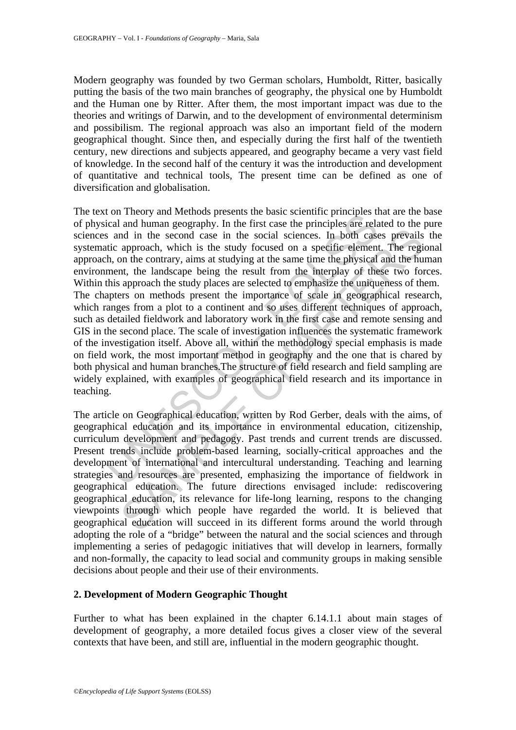Modern geography was founded by two German scholars, Humboldt, Ritter, basically putting the basis of the two main branches of geography, the physical one by Humboldt and the Human one by Ritter. After them, the most important impact was due to the theories and writings of Darwin, and to the development of environmental determinism and possibilism. The regional approach was also an important field of the modern geographical thought. Since then, and especially during the first half of the twentieth century, new directions and subjects appeared, and geography became a very vast field of knowledge. In the second half of the century it was the introduction and development of quantitative and technical tools, The present time can be defined as one of diversification and globalisation.

or new reactions presents the basis certain prime presents the basis and or new reaction and human georaphy. In the first case the principles are relation and in the second case in the social sciences. In both case and in and in the second case in the social sciences. In both cases prevails<br>approach, which is the study focused on a specific element. The regi<br>absorband in the contrary, aims at studying at the same time the physical and the h The text on Theory and Methods presents the basic scientific principles that are the base of physical and human geography. In the first case the principles are related to the pure sciences and in the second case in the social sciences. In both cases prevails the systematic approach, which is the study focused on a specific element. The regional approach, on the contrary, aims at studying at the same time the physical and the human environment, the landscape being the result from the interplay of these two forces. Within this approach the study places are selected to emphasize the uniqueness of them. The chapters on methods present the importance of scale in geographical research, which ranges from a plot to a continent and so uses different techniques of approach, such as detailed fieldwork and laboratory work in the first case and remote sensing and GIS in the second place. The scale of investigation influences the systematic framework of the investigation itself. Above all, within the methodology special emphasis is made on field work, the most important method in geography and the one that is chared by both physical and human branches.The structure of field research and field sampling are widely explained, with examples of geographical field research and its importance in teaching.

The article on Geographical education, written by Rod Gerber, deals with the aims, of geographical education and its importance in environmental education, citizenship, curriculum development and pedagogy. Past trends and current trends are discussed. Present trends include problem-based learning, socially-critical approaches and the development of international and intercultural understanding. Teaching and learning strategies and resources are presented, emphasizing the importance of fieldwork in geographical education. The future directions envisaged include: rediscovering geographical education, its relevance for life-long learning, respons to the changing viewpoints through which people have regarded the world. It is believed that geographical education will succeed in its different forms around the world through adopting the role of a "bridge" between the natural and the social sciences and through implementing a series of pedagogic initiatives that will develop in learners, formally and non-formally, the capacity to lead social and community groups in making sensible decisions about people and their use of their environments.

### **2. Development of Modern Geographic Thought**

Further to what has been explained in the chapter 6.14.1.1 about main stages of development of geography, a more detailed focus gives a closer view of the several contexts that have been, and still are, influential in the modern geographic thought.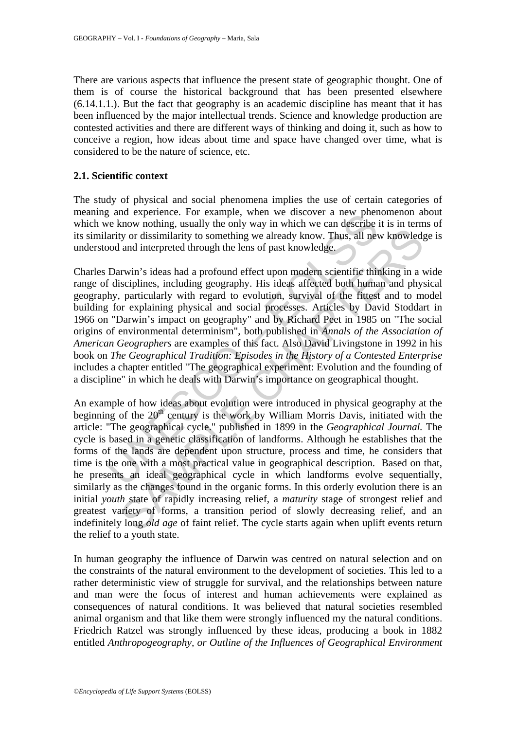There are various aspects that influence the present state of geographic thought. One of them is of course the historical background that has been presented elsewhere (6.14.1.1.). But the fact that geography is an academic discipline has meant that it has been influenced by the major intellectual trends. Science and knowledge production are contested activities and there are different ways of thinking and doing it, such as how to conceive a region, how ideas about time and space have changed over time, what is considered to be the nature of science, etc.

### **2.1. Scientific context**

The study of physical and social phenomena implies the use of certain categories of meaning and experience. For example, when we discover a new phenomenon about which we know nothing, usually the only way in which we can describe it is in terms of its similarity or dissimilarity to something we already know. Thus, all new knowledge is understood and interpreted through the lens of past knowledge.

g and experience. For example, when we useover a new phere we know nothing, usually the only way in which we can describe tarrivty or dissimilarity to something we already know. Thus, all new odd and interpreted through th Charles Darwin's ideas had a profound effect upon modern scientific thinking in a wide range of disciplines, including geography. His ideas affected both human and physical geography, particularly with regard to evolution, survival of the fittest and to model building for explaining physical and social processes. Articles by David Stoddart in 1966 on "Darwin's impact on geography" and by Richard Peet in 1985 on "The social origins of environmental determinism", both published in *Annals of the Association of American Geographers* are examples of this fact. Also David Livingstone in 1992 in his book on *The Geographical Tradition: Episodes in the History of a Contested Enterprise* includes a chapter entitled "The geographical experiment: Evolution and the founding of a discipline" in which he deals with Darwin's importance on geographical thought.

and interpretative to something we already know. Thus, all new knowledge and interpreted through the lens of past knowledge.<br>
The and interpreted through the lens of past knowledge.<br>
The avisophers, including geography. H An example of how ideas about evolution were introduced in physical geography at the beginning of the  $20<sup>th</sup>$  century is the work by William Morris Davis, initiated with the article: "The geographical cycle." published in 1899 in the *Geographical Journal.* The cycle is based in a genetic classification of landforms. Although he establishes that the forms of the lands are dependent upon structure, process and time, he considers that time is the one with a most practical value in geographical description. Based on that, he presents an ideal geographical cycle in which landforms evolve sequentially, similarly as the changes found in the organic forms. In this orderly evolution there is an initial *youth* state of rapidly increasing relief, a *maturity* stage of strongest relief and greatest variety of forms, a transition period of slowly decreasing relief, and an indefinitely long *old age* of faint relief. The cycle starts again when uplift events return the relief to a youth state.

In human geography the influence of Darwin was centred on natural selection and on the constraints of the natural environment to the development of societies. This led to a rather deterministic view of struggle for survival, and the relationships between nature and man were the focus of interest and human achievements were explained as consequences of natural conditions. It was believed that natural societies resembled animal organism and that like them were strongly influenced my the natural conditions. Friedrich Ratzel was strongly influenced by these ideas, producing a book in 1882 entitled *Anthropogeography, or Outline of the Influences of Geographical Environment*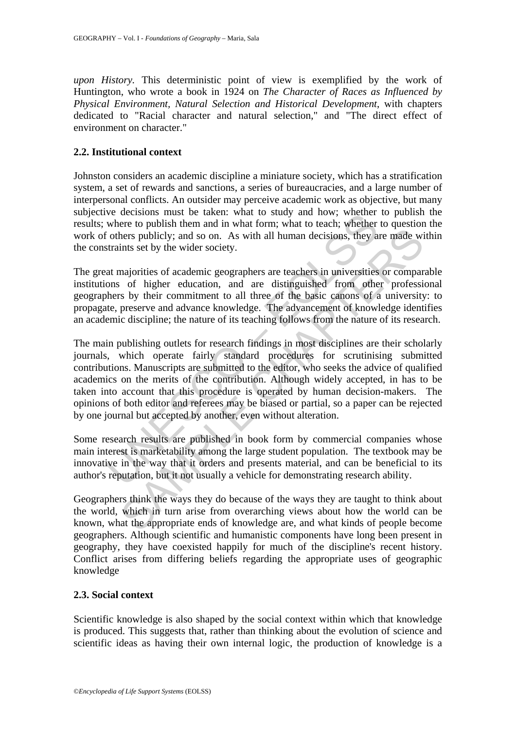*upon History.* This deterministic point of view is exemplified by the work of Huntington, who wrote a book in 1924 on *The Character of Races as Influenced by Physical Environment, Natural Selection and Historical Development*, with chapters dedicated to "Racial character and natural selection," and "The direct effect of environment on character."

## **2.2. Institutional context**

Johnston considers an academic discipline a miniature society, which has a stratification system, a set of rewards and sanctions, a series of bureaucracies, and a large number of interpersonal conflicts. An outsider may perceive academic work as objective, but many subjective decisions must be taken: what to study and how; whether to publish the results; where to publish them and in what form; what to teach; whether to question the work of others publicly; and so on. As with all human decisions, they are made within the constraints set by the wider society.

The great majorities of academic geographers are teachers in universities or comparable institutions of higher education, and are distinguished from other professional geographers by their commitment to all three of the basic canons of a university: to propagate, preserve and advance knowledge. The advancement of knowledge identifies an academic discipline; the nature of its teaching follows from the nature of its research.

We decassions inust be classing. What form, what to study and now, whence to publish them and in what form; what to teach; whether of others publicly; and so on. As with all human decisions, they a straints set by the wide Example the wide and matter and matter the way the wide of the wide of the wide the species of chapter and so on. As with all human decisions, they are made with the set by the wider society.<br>
majorities of cademic geograp The main publishing outlets for research findings in most disciplines are their scholarly journals, which operate fairly standard procedures for scrutinising submitted contributions. Manuscripts are submitted to the editor, who seeks the advice of qualified academics on the merits of the contribution. Although widely accepted, in has to be taken into account that this procedure is operated by human decision-makers. The opinions of both editor and referees may be biased or partial, so a paper can be rejected by one journal but accepted by another, even without alteration.

Some research results are published in book form by commercial companies whose main interest is marketability among the large student population. The textbook may be innovative in the way that it orders and presents material, and can be beneficial to its author's reputation, but it not usually a vehicle for demonstrating research ability.

Geographers think the ways they do because of the ways they are taught to think about the world, which in turn arise from overarching views about how the world can be known, what the appropriate ends of knowledge are, and what kinds of people become geographers. Although scientific and humanistic components have long been present in geography, they have coexisted happily for much of the discipline's recent history. Conflict arises from differing beliefs regarding the appropriate uses of geographic knowledge

# **2.3. Social context**

Scientific knowledge is also shaped by the social context within which that knowledge is produced. This suggests that, rather than thinking about the evolution of science and scientific ideas as having their own internal logic, the production of knowledge is a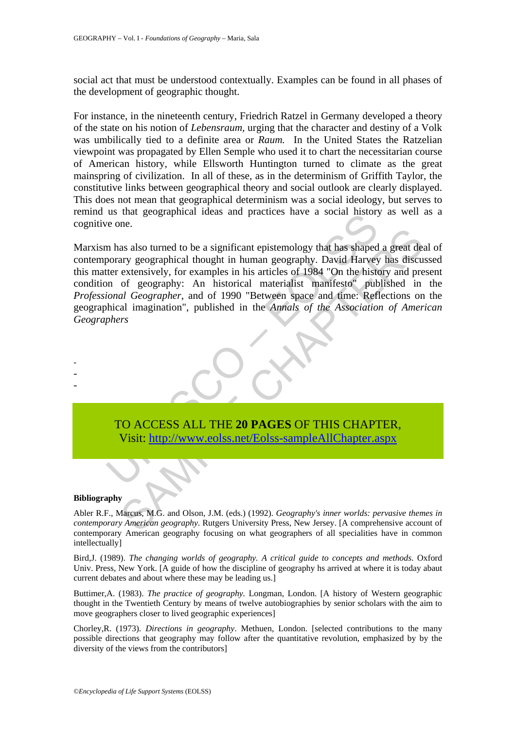social act that must be understood contextually. Examples can be found in all phases of the development of geographic thought.

For instance, in the nineteenth century, Friedrich Ratzel in Germany developed a theory of the state on his notion of *Lebensraum,* urging that the character and destiny of a Volk was umbilically tied to a definite area or *Raum.* In the United States the Ratzelian viewpoint was propagated by Ellen Semple who used it to chart the necessitarian course of American history, while Ellsworth Huntington turned to climate as the great mainspring of civilization. In all of these, as in the determinism of Griffith Taylor, the constitutive links between geographical theory and social outlook are clearly displayed. This does not mean that geographical determinism was a social ideology, but serves to remind us that geographical ideas and practices have a social history as well as a cognitive one.

The Mass and process are a social mistory of the assume of the assume that also turned to be a significant epistemology that has shaped borary geographical thought in human geography. David Harvey there extensively, for ex The same state of the a significant epistemology that has shaped a great deary geographical thought in human geography. David Harvey has discursively, for examples in his articles of 1984 "On the history and profession of Marxism has also turned to be a significant epistemology that has shaped a great deal of contemporary geographical thought in human geography. David Harvey has discussed this matter extensively, for examples in his articles of 1984 "On the history and present condition of geography: An historical materialist manifesto" published in the *Professional Geographer*, and of 1990 "Between space and time: Reflections on the geographical imagination", published in the *Annals of the Association of American Geographers* 



#### **Bibliography**

- - -

Abler R.F., Marcus, M.G. and Olson, J.M. (eds.) (1992). *Geography's inner worlds: pervasive themes in contemporary American geography*. Rutgers University Press, New Jersey. [A comprehensive account of contemporary American geography focusing on what geographers of all specialities have in common intellectually]

Bird,J. (1989). *The changing worlds of geography. A critical guide to concepts and methods*. Oxford Univ. Press, New York. [A guide of how the discipline of geography hs arrived at where it is today abaut current debates and about where these may be leading us.]

Buttimer,A. (1983). *The practice of geography.* Longman, London. [A history of Western geographic thought in the Twentieth Century by means of twelve autobiographies by senior scholars with the aim to move geographers closer to lived geographic experiences]

Chorley,R. (1973). *Directions in geography*. Methuen, London. [selected contributions to the many possible directions that geography may follow after the quantitative revolution, emphasized by by the diversity of the views from the contributors]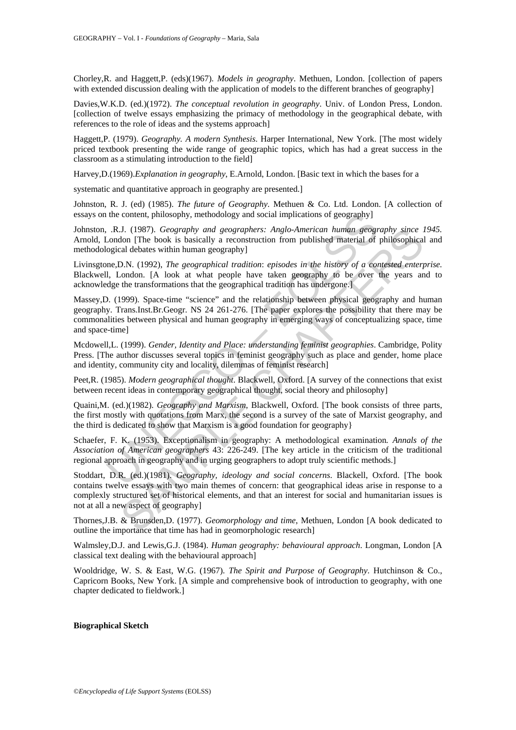Chorley,R. and Haggett,P. (eds)(1967). *Models in geography*. Methuen, London. [collection of papers with extended discussion dealing with the application of models to the different branches of geography]

Davies,W.K.D. (ed.)(1972). *The conceptual revolution in geography*. Univ. of London Press, London. [collection of twelve essays emphasizing the primacy of methodology in the geographical debate, with references to the role of ideas and the systems approach]

Haggett,P. (1979). *Geography. A modern Synthesis*. Harper International, New York. [The most widely priced textbook presenting the wide range of geographic topics, which has had a great success in the classroom as a stimulating introduction to the field]

Harvey,D.(1969).*Explanation in geography*, E.Arnold, London. [Basic text in which the bases for a

systematic and quantitative approach in geography are presented.]

Johnston, R. J. (ed) (1985). *The future of Geography*. Methuen & Co. Ltd. London. [A collection of essays on the content, philosophy, methodology and social implications of geography]

Johnston, .R.J. (1987). *Geography and geographers: Anglo-American human geography since 1945.* Arnold, London [The book is basically a reconstruction from published material of philosophical and methodological debates within human geography]

Livinsgtone,D.N. (1992), *The geographical tradition*: *episodes in the history of a contested enterprise.*  Blackwell, London. [A look at what people have taken geography to be over the years and to acknowledge the transformations that the geographical tradition has undergone.]

the content, philosophy, methodology and social implications of geography]<br>
. R.J. (1987). *Geography and geographers: Anglo-American human geography*<br>
ordon [The book is basically a reconstruction from published material Massey,D. (1999). Space-time "science" and the relationship between physical geography and human geography. Trans.Inst.Br.Geogr. NS 24 261-276. [The paper explores the possibility that there may be commonalities between physical and human geography in emerging ways of conceptualizing space, time and space-time]

Mcdowell,L. (1999). *Gender, Identity and Place: understanding feminist geographies*. Cambridge, Polity Press. [The author discusses several topics in feminist geography such as place and gender, home place and identity, community city and locality, dilemmas of feminist research]

Peet,R. (1985). *Modern geographical thought*. Blackwell, Oxford. [A survey of the connections that exist between recent ideas in contemporary geographical thought, social theory and philosophy]

Quaini,M. (ed.)(1982). *Geography and Marxism*, Blackwell, Oxford. [The book consists of three parts, the first mostly with quotations from Marx, the second is a survey of the sate of Marxist geography, and the third is dedicated to show that Marxism is a good foundation for geography}

Schaefer, F. K. (1953). Exceptionalism in geography: A methodological examination*. Annals of the Association of American geographers* 43: 226-249. [The key article in the criticism of the traditional regional approach in geography and in urging geographers to adopt truly scientific methods.]

J. (1987). *Geography and geographers: Anglo-American humian geography since*<br>
J. (1987). *Geography* and geographical radition: episodes in the history of a contested enterpreneus.<br>
2.1 (1992), *The geographical traditio* Stoddart, D.R. (ed.)(1981). *Geography, ideology and social concerns*. Blackell, Oxford. [The book contains twelve essays with two main themes of concern: that geographical ideas arise in response to a complexly structured set of historical elements, and that an interest for social and humanitarian issues is not at all a new aspect of geography]

Thornes,J.B. & Brunsden,D. (1977). *Geomorphology and time*, Methuen, London [A book dedicated to outline the importance that time has had in geomorphologic research]

Walmsley,D.J. and Lewis,G.J. (1984). *Human geography: behavioural approach*. Longman, London [A classical text dealing with the behavioural approach]

Wooldridge, W. S. & East, W.G. (1967). *The Spirit and Purpose of Geography*. Hutchinson & Co., Capricorn Books, New York. [A simple and comprehensive book of introduction to geography, with one chapter dedicated to fieldwork.]

#### **Biographical Sketch**